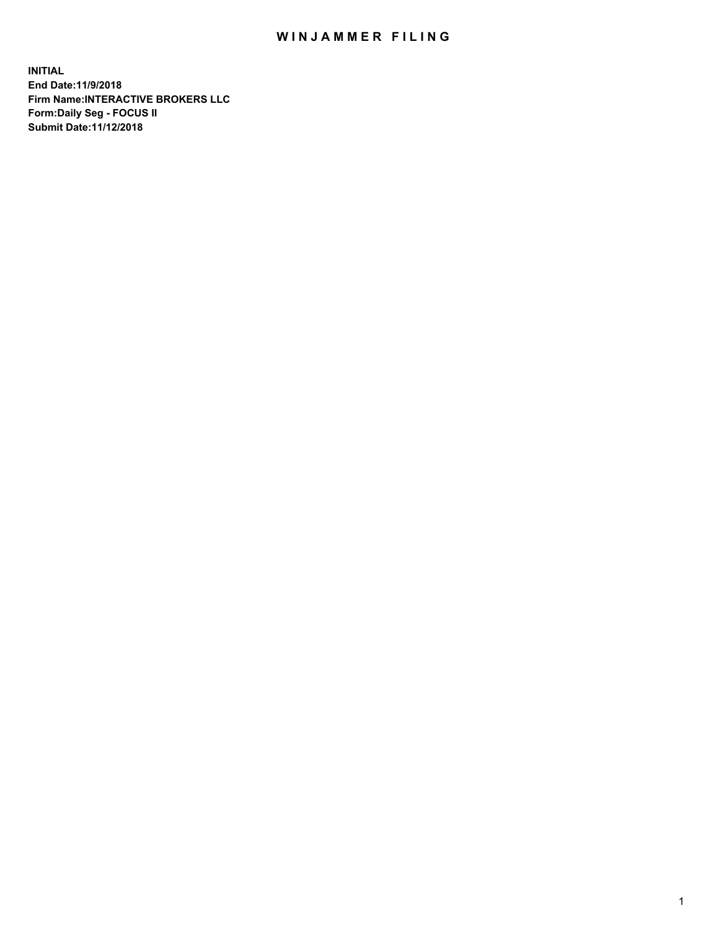## WIN JAMMER FILING

**INITIAL End Date:11/9/2018 Firm Name:INTERACTIVE BROKERS LLC Form:Daily Seg - FOCUS II Submit Date:11/12/2018**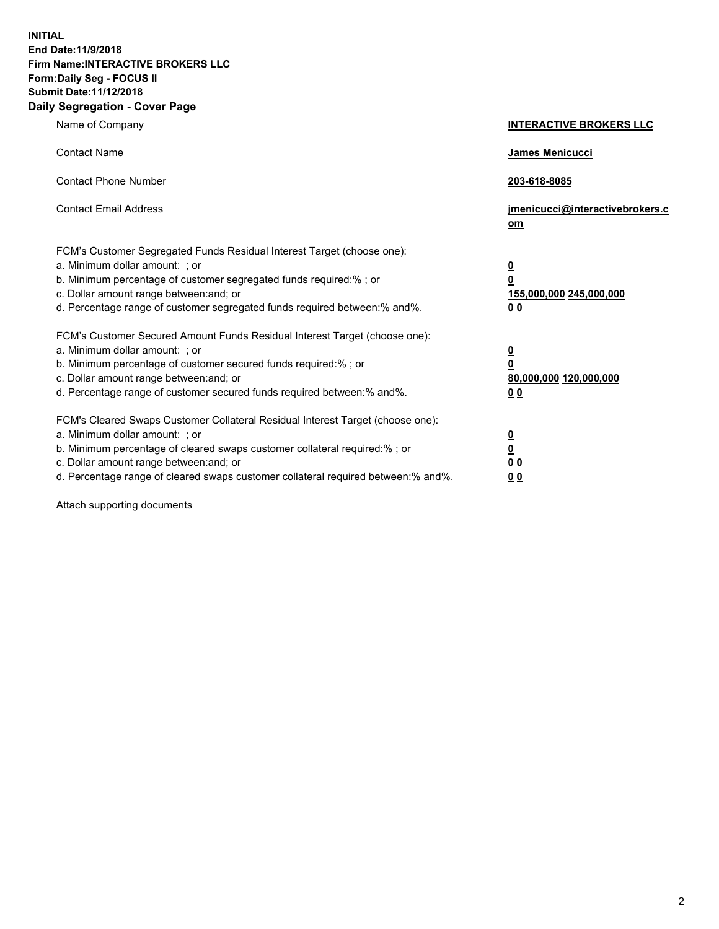**INITIAL End Date:11/9/2018 Firm Name:INTERACTIVE BROKERS LLC Form:Daily Seg - FOCUS II Submit Date:11/12/2018 Daily Segregation - Cover Page**

| Name of Company                                                                                                                                                                                                                                                                                                                | <b>INTERACTIVE BROKERS LLC</b>                                                                  |
|--------------------------------------------------------------------------------------------------------------------------------------------------------------------------------------------------------------------------------------------------------------------------------------------------------------------------------|-------------------------------------------------------------------------------------------------|
| <b>Contact Name</b>                                                                                                                                                                                                                                                                                                            | James Menicucci                                                                                 |
| <b>Contact Phone Number</b>                                                                                                                                                                                                                                                                                                    | 203-618-8085                                                                                    |
| <b>Contact Email Address</b>                                                                                                                                                                                                                                                                                                   | jmenicucci@interactivebrokers.c<br>$om$                                                         |
| FCM's Customer Segregated Funds Residual Interest Target (choose one):<br>a. Minimum dollar amount: ; or<br>b. Minimum percentage of customer segregated funds required:% ; or<br>c. Dollar amount range between: and; or<br>d. Percentage range of customer segregated funds required between:% and%.                         | $\overline{\mathbf{0}}$<br>$\overline{\mathbf{0}}$<br>155,000,000 245,000,000<br>0 <sub>0</sub> |
| FCM's Customer Secured Amount Funds Residual Interest Target (choose one):<br>a. Minimum dollar amount: ; or<br>b. Minimum percentage of customer secured funds required:% ; or<br>c. Dollar amount range between: and; or<br>d. Percentage range of customer secured funds required between:% and%.                           | $\overline{\mathbf{0}}$<br>$\overline{\mathbf{0}}$<br>80,000,000 120,000,000<br>0 <sub>0</sub>  |
| FCM's Cleared Swaps Customer Collateral Residual Interest Target (choose one):<br>a. Minimum dollar amount: ; or<br>b. Minimum percentage of cleared swaps customer collateral required:% ; or<br>c. Dollar amount range between: and; or<br>d. Percentage range of cleared swaps customer collateral required between:% and%. | $\overline{\mathbf{0}}$<br>$\overline{\mathbf{0}}$<br>0 <sub>0</sub><br>0 <sub>0</sub>          |

Attach supporting documents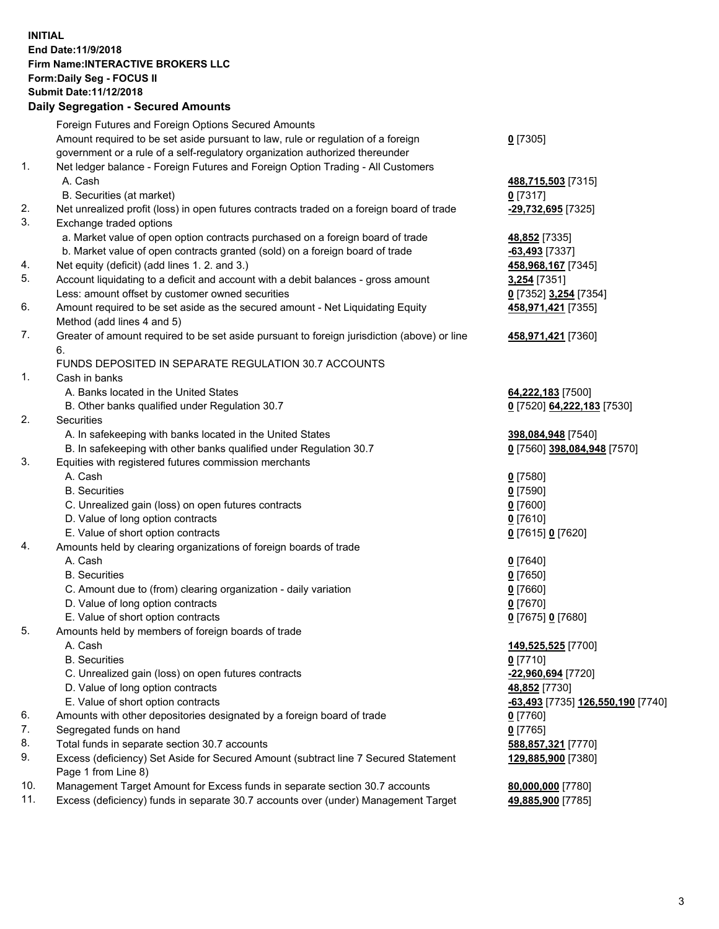## **INITIAL End Date:11/9/2018 Firm Name:INTERACTIVE BROKERS LLC Form:Daily Seg - FOCUS II Submit Date:11/12/2018 Daily Segregation - Secured Amounts**

|     | Daily Segregation - Secured Alliounts                                                       |                                                 |
|-----|---------------------------------------------------------------------------------------------|-------------------------------------------------|
|     | Foreign Futures and Foreign Options Secured Amounts                                         |                                                 |
|     | Amount required to be set aside pursuant to law, rule or regulation of a foreign            | $0$ [7305]                                      |
|     | government or a rule of a self-regulatory organization authorized thereunder                |                                                 |
| 1.  | Net ledger balance - Foreign Futures and Foreign Option Trading - All Customers             |                                                 |
|     | A. Cash                                                                                     | 488,715,503 [7315]                              |
|     | B. Securities (at market)                                                                   | $0$ [7317]                                      |
| 2.  | Net unrealized profit (loss) in open futures contracts traded on a foreign board of trade   | -29,732,695 [7325]                              |
| 3.  | Exchange traded options                                                                     |                                                 |
|     | a. Market value of open option contracts purchased on a foreign board of trade              | 48,852 [7335]                                   |
|     | b. Market value of open contracts granted (sold) on a foreign board of trade                | -63,493 [7337]                                  |
| 4.  | Net equity (deficit) (add lines 1.2. and 3.)                                                | 458,968,167 [7345]                              |
| 5.  | Account liquidating to a deficit and account with a debit balances - gross amount           | 3,254 [7351]                                    |
|     | Less: amount offset by customer owned securities                                            | 0 [7352] 3,254 [7354]                           |
| 6.  | Amount required to be set aside as the secured amount - Net Liquidating Equity              | 458,971,421 [7355]                              |
|     | Method (add lines 4 and 5)                                                                  |                                                 |
| 7.  | Greater of amount required to be set aside pursuant to foreign jurisdiction (above) or line | 458,971,421 [7360]                              |
|     | 6.                                                                                          |                                                 |
|     | FUNDS DEPOSITED IN SEPARATE REGULATION 30.7 ACCOUNTS                                        |                                                 |
| 1.  | Cash in banks                                                                               |                                                 |
|     | A. Banks located in the United States                                                       | 64,222,183 [7500]                               |
|     | B. Other banks qualified under Regulation 30.7                                              | 0 [7520] 64,222,183 [7530]                      |
| 2.  | Securities                                                                                  |                                                 |
|     | A. In safekeeping with banks located in the United States                                   | 398,084,948 [7540]                              |
|     | B. In safekeeping with other banks qualified under Regulation 30.7                          | 0 [7560] 398,084,948 [7570]                     |
| 3.  | Equities with registered futures commission merchants                                       |                                                 |
|     | A. Cash                                                                                     | $0$ [7580]                                      |
|     | <b>B.</b> Securities                                                                        | $0$ [7590]                                      |
|     | C. Unrealized gain (loss) on open futures contracts                                         | $0$ [7600]                                      |
|     | D. Value of long option contracts                                                           | $0$ [7610]                                      |
|     | E. Value of short option contracts                                                          | 0 [7615] 0 [7620]                               |
| 4.  | Amounts held by clearing organizations of foreign boards of trade                           |                                                 |
|     | A. Cash                                                                                     | $0$ [7640]                                      |
|     | <b>B.</b> Securities                                                                        | $0$ [7650]                                      |
|     | C. Amount due to (from) clearing organization - daily variation                             | $0$ [7660]                                      |
|     | D. Value of long option contracts                                                           | $0$ [7670]                                      |
|     | E. Value of short option contracts                                                          | 0 [7675] 0 [7680]                               |
| 5.  | Amounts held by members of foreign boards of trade                                          |                                                 |
|     | A. Cash                                                                                     | 149,525,525 [7700]                              |
|     | <b>B.</b> Securities                                                                        | $0$ [7710]                                      |
|     | C. Unrealized gain (loss) on open futures contracts                                         | -22,960,694 [7720]                              |
|     | D. Value of long option contracts                                                           | 48,852 [7730]                                   |
|     | E. Value of short option contracts                                                          | <u>-63,493</u> [7735] <u>126,550,190</u> [7740] |
| 6.  | Amounts with other depositories designated by a foreign board of trade                      | $0$ [7760]                                      |
| 7.  | Segregated funds on hand                                                                    | $0$ [7765]                                      |
| 8.  | Total funds in separate section 30.7 accounts                                               | 588,857,321 [7770]                              |
| 9.  | Excess (deficiency) Set Aside for Secured Amount (subtract line 7 Secured Statement         | 129,885,900 [7380]                              |
|     | Page 1 from Line 8)                                                                         |                                                 |
| 10. | Management Target Amount for Excess funds in separate section 30.7 accounts                 | 80,000,000 [7780]                               |
| 11. | Excess (deficiency) funds in separate 30.7 accounts over (under) Management Target          | 49,885,900 [7785]                               |
|     |                                                                                             |                                                 |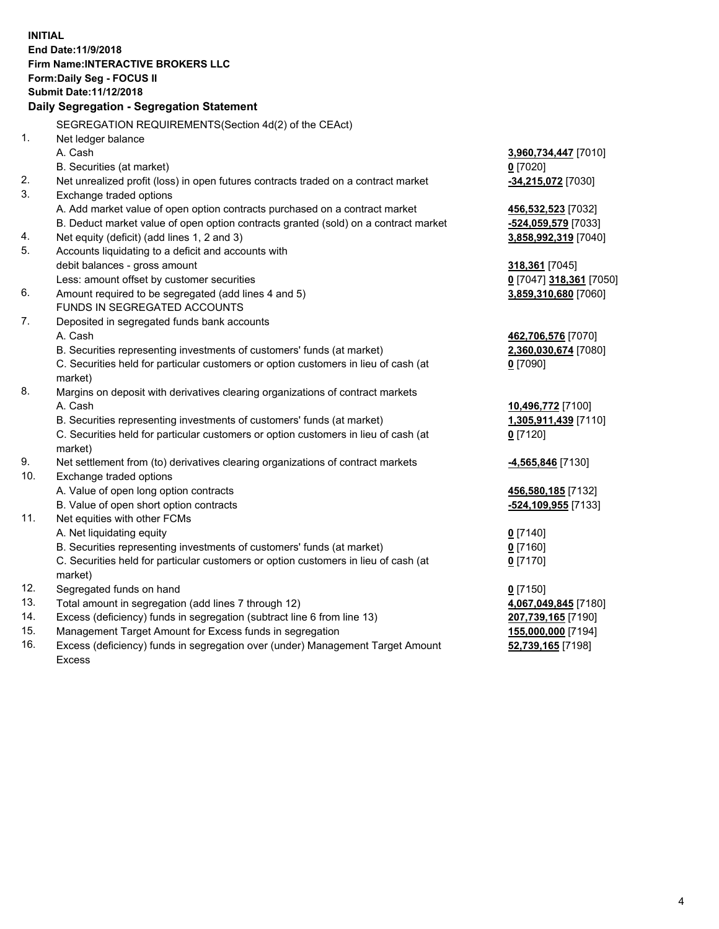**INITIAL End Date:11/9/2018 Firm Name:INTERACTIVE BROKERS LLC Form:Daily Seg - FOCUS II Submit Date:11/12/2018 Daily Segregation - Segregation Statement** SEGREGATION REQUIREMENTS(Section 4d(2) of the CEAct) 1. Net ledger balance A. Cash **3,960,734,447** [7010] B. Securities (at market) **0** [7020] 2. Net unrealized profit (loss) in open futures contracts traded on a contract market **-34,215,072** [7030] 3. Exchange traded options A. Add market value of open option contracts purchased on a contract market **456,532,523** [7032] B. Deduct market value of open option contracts granted (sold) on a contract market **-524,059,579** [7033] 4. Net equity (deficit) (add lines 1, 2 and 3) **3,858,992,319** [7040] 5. Accounts liquidating to a deficit and accounts with debit balances - gross amount **318,361** [7045] Less: amount offset by customer securities **0** [7047] **318,361** [7050] 6. Amount required to be segregated (add lines 4 and 5) **3,859,310,680** [7060] FUNDS IN SEGREGATED ACCOUNTS 7. Deposited in segregated funds bank accounts A. Cash **462,706,576** [7070] B. Securities representing investments of customers' funds (at market) **2,360,030,674** [7080] C. Securities held for particular customers or option customers in lieu of cash (at market) **0** [7090] 8. Margins on deposit with derivatives clearing organizations of contract markets A. Cash **10,496,772** [7100] B. Securities representing investments of customers' funds (at market) **1,305,911,439** [7110] C. Securities held for particular customers or option customers in lieu of cash (at market) **0** [7120] 9. Net settlement from (to) derivatives clearing organizations of contract markets **-4,565,846** [7130] 10. Exchange traded options A. Value of open long option contracts **456,580,185** [7132] B. Value of open short option contracts **-524,109,955** [7133] 11. Net equities with other FCMs A. Net liquidating equity **0** [7140] B. Securities representing investments of customers' funds (at market) **0** [7160] C. Securities held for particular customers or option customers in lieu of cash (at market) **0** [7170] 12. Segregated funds on hand **0** [7150] 13. Total amount in segregation (add lines 7 through 12) **4,067,049,845** [7180] 14. Excess (deficiency) funds in segregation (subtract line 6 from line 13) **207,739,165** [7190] 15. Management Target Amount for Excess funds in segregation **155,000,000** [7194] **52,739,165** [7198]

16. Excess (deficiency) funds in segregation over (under) Management Target Amount Excess